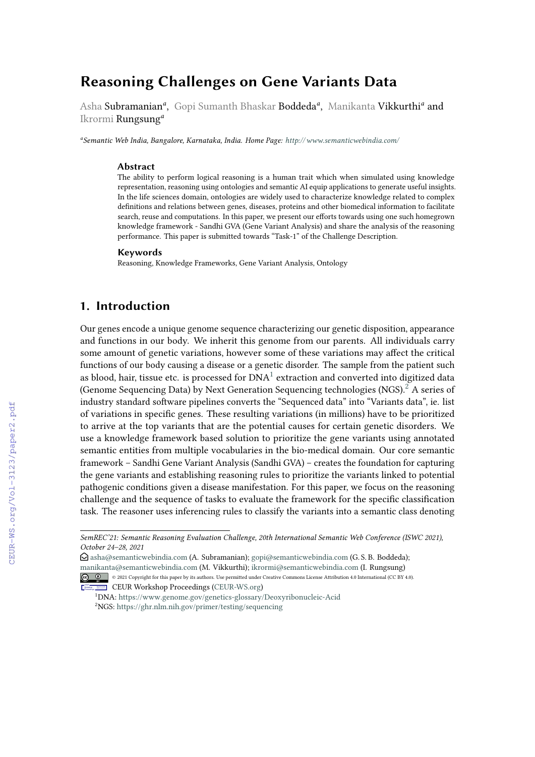# **Reasoning Challenges on Gene Variants Data**

Asha Subramanian<sup>a</sup>, Gopi Sumanth Bhaskar Boddeda<sup>a</sup>, Manikanta Vikkurthi<sup>a</sup> and Ikrormi Rungsung*<sup>a</sup>*

*a Semantic Web India, Bangalore, Karnataka, India. Home Page: <http://www.semanticwebindia.com/>*

#### **Abstract**

The ability to perform logical reasoning is a human trait which when simulated using knowledge representation, reasoning using ontologies and semantic AI equip applications to generate useful insights. In the life sciences domain, ontologies are widely used to characterize knowledge related to complex definitions and relations between genes, diseases, proteins and other biomedical information to facilitate search, reuse and computations. In this paper, we present our efforts towards using one such homegrown knowledge framework - Sandhi GVA (Gene Variant Analysis) and share the analysis of the reasoning performance. This paper is submitted towards "Task-1" of the Challenge Description.

#### **Keywords**

Reasoning, Knowledge Frameworks, Gene Variant Analysis, Ontology

### **1. Introduction**

Our genes encode a unique genome sequence characterizing our genetic disposition, appearance and functions in our body. We inherit this genome from our parents. All individuals carry some amount of genetic variations, however some of these variations may affect the critical functions of our body causing a disease or a genetic disorder. The sample from the patient such as blood, hair, tissue etc. is processed for  $\mathrm{DNA}^{1}$  $\mathrm{DNA}^{1}$  $\mathrm{DNA}^{1}$  extraction and converted into digitized data (Genome Sequencing Data) by Next Generation Sequencing technologies  $(NGS)$ <sup>[2](#page--1-0)</sup> A series of industry standard software pipelines converts the "Sequenced data" into "Variants data", ie. list of variations in specific genes. These resulting variations (in millions) have to be prioritized to arrive at the top variants that are the potential causes for certain genetic disorders. We use a knowledge framework based solution to prioritize the gene variants using annotated semantic entities from multiple vocabularies in the bio-medical domain. Our core semantic framework – Sandhi Gene Variant Analysis (Sandhi GVA) – creates the foundation for capturing the gene variants and establishing reasoning rules to prioritize the variants linked to potential pathogenic conditions given a disease manifestation. For this paper, we focus on the reasoning challenge and the sequence of tasks to evaluate the framework for the specific classification task. The reasoner uses inferencing rules to classify the variants into a semantic class denoting

- [manikanta@semanticwebindia.com](mailto:manikanta@semanticwebindia.com) (M. Vikkurthi); [ikrormi@semanticwebindia.com](mailto:ikrormi@semanticwebindia.com) (I. Rungsung)
- © 2021 Copyright for this paper by its authors. Use permitted under Creative Commons License Attribution 4.0 International (CC BY 4.0). CEUR Workshop [Proceedings](http://ceur-ws.org) [\(CEUR-WS.org\)](http://ceur-ws.org)

*SemREC'21: Semantic Reasoning Evaluation Challenge, 20th International Semantic Web Conference (ISWC 2021), October 24–28, 2021*

 $\odot$  [asha@semanticwebindia.com](mailto:asha@semanticwebindia.com) (A. Subramanian); [gopi@semanticwebindia.com](mailto:gopi@semanticwebindia.com) (G. S. B. Boddeda);

<sup>1</sup>DNA: <https://www.genome.gov/genetics-glossary/Deoxyribonucleic-Acid> <sup>2</sup>NGS: <https://ghr.nlm.nih.gov/primer/testing/sequencing>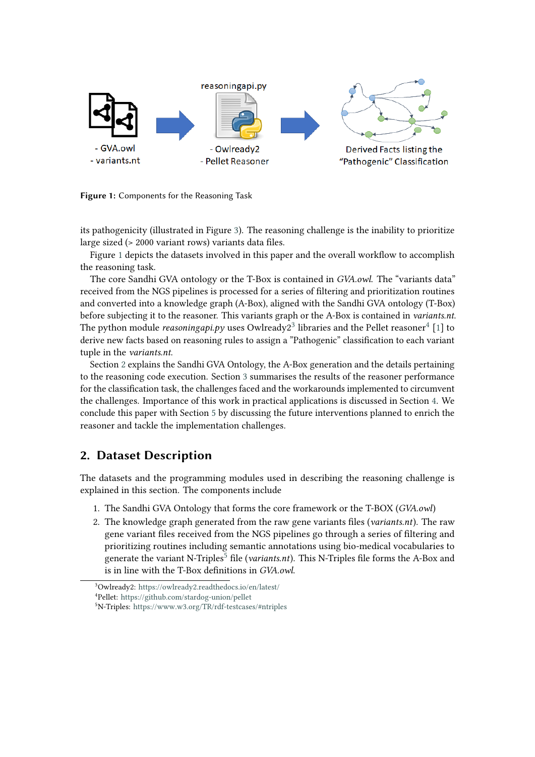<span id="page-1-0"></span>

**Figure 1:** Components for the Reasoning Task

its pathogenicity (illustrated in Figure [3\)](#page-3-0). The reasoning challenge is the inability to prioritize large sized (> 2000 variant rows) variants data files.

Figure [1](#page-1-0) depicts the datasets involved in this paper and the overall workflow to accomplish the reasoning task.

The core Sandhi GVA ontology or the T-Box is contained in *GVA.owl*. The "variants data" received from the NGS pipelines is processed for a series of filtering and prioritization routines and converted into a knowledge graph (A-Box), aligned with the Sandhi GVA ontology (T-Box) before subjecting it to the reasoner. This variants graph or the A-Box is contained in *variants.nt*. The python module *reasoningapi.py* uses Owlready $2^3$  $2^3$  libraries and the Pellet reasoner $^4$  $^4$  [\[1\]](#page-7-1) to derive new facts based on reasoning rules to assign a "Pathogenic" classification to each variant tuple in the *variants.nt*.

Section [2](#page-1-1) explains the Sandhi GVA Ontology, the A-Box generation and the details pertaining to the reasoning code execution. Section [3](#page-3-1) summarises the results of the reasoner performance for the classification task, the challenges faced and the workarounds implemented to circumvent the challenges. Importance of this work in practical applications is discussed in Section [4.](#page-5-0) We conclude this paper with Section [5](#page-6-0) by discussing the future interventions planned to enrich the reasoner and tackle the implementation challenges.

### <span id="page-1-1"></span>**2. Dataset Description**

The datasets and the programming modules used in describing the reasoning challenge is explained in this section. The components include

- 1. The Sandhi GVA Ontology that forms the core framework or the T-BOX (*GVA.owl*)
- 2. The knowledge graph generated from the raw gene variants files (*variants.nt*). The raw gene variant files received from the NGS pipelines go through a series of filtering and prioritizing routines including semantic annotations using bio-medical vocabularies to generate the variant N-Triples<sup>[5](#page-7-0)</sup> file (*variants.nt*). This N-Triples file forms the A-Box and is in line with the T-Box definitions in *GVA.owl*.

<sup>3</sup>Owlready2: <https://owlready2.readthedocs.io/en/latest/> <sup>4</sup>Pellet: <https://github.com/stardog-union/pellet>

<sup>5</sup>N-Triples: <https://www.w3.org/TR/rdf-testcases/#ntriples>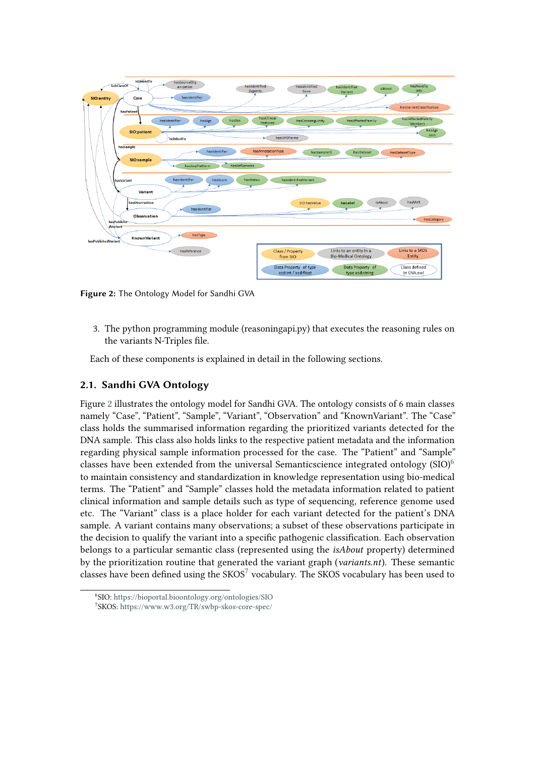<span id="page-2-0"></span>

**Figure 2:** The Ontology Model for Sandhi GVA

3. The python programming module (reasoningapi.py) that executes the reasoning rules on the variants N-Triples file.

Each of these components is explained in detail in the following sections.

#### **2.1. Sandhi GVA Ontology**

Figure [2](#page-2-0) illustrates the ontology model for Sandhi GVA. The ontology consists of 6 main classes namely "Case", "Patient", "Sample", "Variant", "Observation" and "KnownVariant". The "Case" class holds the summarised information regarding the prioritized variants detected for the DNA sample. This class also holds links to the respective patient metadata and the information regarding physical sample information processed for the case. The "Patient" and "Sample" classes have been extended from the universal Semanticscience integrated ontology  $(SIO)^6$  $(SIO)^6$ to maintain consistency and standardization in knowledge representation using bio-medical terms. The "Patient" and "Sample" classes hold the metadata information related to patient clinical information and sample details such as type of sequencing, reference genome used etc. The "Variant" class is a place holder for each variant detected for the patient's DNA sample. A variant contains many observations; a subset of these observations participate in the decision to qualify the variant into a specific pathogenic classification. Each observation belongs to a particular semantic class (represented using the *isAbout* property) determined by the prioritization routine that generated the variant graph (*variants.nt*). These semantic classes have been defined using the  $SKOS<sup>7</sup>$  $SKOS<sup>7</sup>$  $SKOS<sup>7</sup>$  vocabulary. The SKOS vocabulary has been used to

<sup>6</sup> SIO: <https://bioportal.bioontology.org/ontologies/SIO> 7 SKOS: <https://www.w3.org/TR/swbp-skos-core-spec/>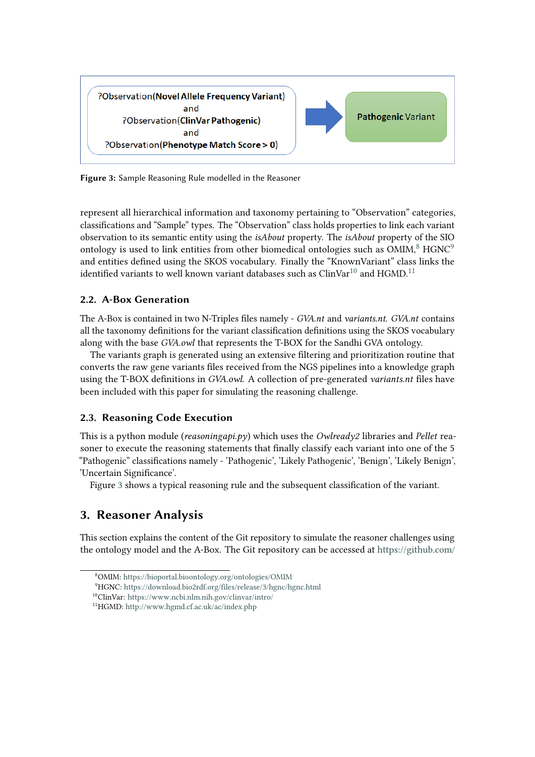<span id="page-3-0"></span>

**Figure 3:** Sample Reasoning Rule modelled in the Reasoner

represent all hierarchical information and taxonomy pertaining to "Observation" categories, classifications and "Sample" types. The "Observation" class holds properties to link each variant observation to its semantic entity using the *isAbout* property. The *isAbout* property of the SIO ontology is used to link entities from other biomedical ontologies such as  $OMIM<sup>8</sup>$  $OMIM<sup>8</sup>$  $OMIM<sup>8</sup>$  HGNC<sup>[9](#page-7-0)</sup> and entities defined using the SKOS vocabulary. Finally the "KnownVariant" class links the identified variants to well known variant databases such as  $\text{ClinVar}^{10}$  $\text{ClinVar}^{10}$  $\text{ClinVar}^{10}$  and HGMD.<sup>[11](#page-7-0)</sup>

#### **2.2. A-Box Generation**

The A-Box is contained in two N-Triples files namely - *GVA.nt* and *variants.nt*. *GVA.nt* contains all the taxonomy definitions for the variant classification definitions using the SKOS vocabulary along with the base *GVA.owl* that represents the T-BOX for the Sandhi GVA ontology.

The variants graph is generated using an extensive filtering and prioritization routine that converts the raw gene variants files received from the NGS pipelines into a knowledge graph using the T-BOX definitions in *GVA.owl*. A collection of pre-generated *variants.nt* files have been included with this paper for simulating the reasoning challenge.

### **2.3. Reasoning Code Execution**

This is a python module (*reasoningapi.py*) which uses the *Owlready2* libraries and *Pellet* reasoner to execute the reasoning statements that finally classify each variant into one of the 5 "Pathogenic" classifications namely - 'Pathogenic', 'Likely Pathogenic', 'Benign', 'Likely Benign', 'Uncertain Significance'.

Figure [3](#page-3-0) shows a typical reasoning rule and the subsequent classification of the variant.

## <span id="page-3-1"></span>**3. Reasoner Analysis**

This section explains the content of the Git repository to simulate the reasoner challenges using the ontology model and the A-Box. The Git repository can be accessed at [https://github.com/](https://github.com/SWIUser1/SemanticReasoner)

<sup>8</sup>OMIM: [https://bioportal.bioontology.org/ontologies/OMIM](https://github.com/SWIUser1/SemanticReasoner)

<sup>9</sup>HGNC: [https://download.bio2rdf.org/files/release/3/hgnc/hgnc.html](https://github.com/SWIUser1/SemanticReasoner)

<sup>10</sup>ClinVar: [https://www.ncbi.nlm.nih.gov/clinvar/intro/](https://github.com/SWIUser1/SemanticReasoner)

<sup>11</sup>HGMD: [http://www.hgmd.cf.ac.uk/ac/index.php](https://github.com/SWIUser1/SemanticReasoner)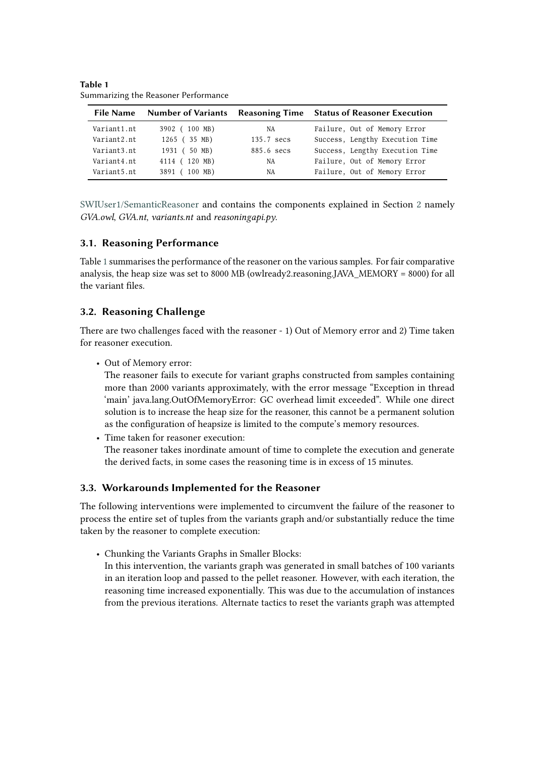|             |               |            | File Name Number of Variants Reasoning Time Status of Reasoner Execution |
|-------------|---------------|------------|--------------------------------------------------------------------------|
| Variant1.nt | 3902 (100 MB) | NA         | Failure, Out of Memory Error                                             |
| Variant2.nt | 1265 (35 MB)  | 135.7 secs | Success, Lengthy Execution Time                                          |
| Variant3.nt | 1931 (50 MB)  | 885.6 secs | Success, Lengthy Execution Time                                          |
| Variant4.nt | 4114 (120 MB) | NA         | Failure, Out of Memory Error                                             |
| Variant5.nt | 3891 (100 MB) | NA         | Failure, Out of Memory Error                                             |

<span id="page-4-0"></span>**Table 1** Summarizing the Reasoner Performance

[SWIUser1/SemanticReasoner](https://github.com/SWIUser1/SemanticReasoner) and contains the components explained in Section [2](#page-1-1) namely *GVA.owl*, *GVA.nt*, *variants.nt* and *reasoningapi.py*.

#### **3.1. Reasoning Performance**

Table [1](#page-4-0) summarises the performance of the reasoner on the various samples. For fair comparative analysis, the heap size was set to 8000 MB (owlready2.reasoning.JAVA\_MEMORY = 8000) for all the variant files.

#### **3.2. Reasoning Challenge**

There are two challenges faced with the reasoner - 1) Out of Memory error and 2) Time taken for reasoner execution.

• Out of Memory error:

The reasoner fails to execute for variant graphs constructed from samples containing more than 2000 variants approximately, with the error message "Exception in thread 'main' java.lang.OutOfMemoryError: GC overhead limit exceeded". While one direct solution is to increase the heap size for the reasoner, this cannot be a permanent solution as the configuration of heapsize is limited to the compute's memory resources.

• Time taken for reasoner execution: The reasoner takes inordinate amount of time to complete the execution and generate the derived facts, in some cases the reasoning time is in excess of 15 minutes.

#### **3.3. Workarounds Implemented for the Reasoner**

The following interventions were implemented to circumvent the failure of the reasoner to process the entire set of tuples from the variants graph and/or substantially reduce the time taken by the reasoner to complete execution:

• Chunking the Variants Graphs in Smaller Blocks: In this intervention, the variants graph was generated in small batches of 100 variants in an iteration loop and passed to the pellet reasoner. However, with each iteration, the reasoning time increased exponentially. This was due to the accumulation of instances from the previous iterations. Alternate tactics to reset the variants graph was attempted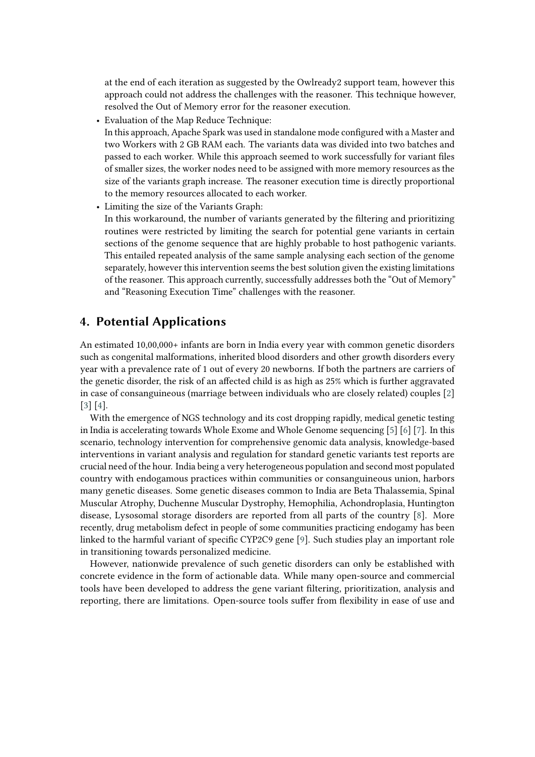at the end of each iteration as suggested by the Owlready2 support team, however this approach could not address the challenges with the reasoner. This technique however, resolved the Out of Memory error for the reasoner execution.

- Evaluation of the Map Reduce Technique: In this approach, Apache Spark was used in standalone mode configured with a Master and two Workers with 2 GB RAM each. The variants data was divided into two batches and passed to each worker. While this approach seemed to work successfully for variant files of smaller sizes, the worker nodes need to be assigned with more memory resources as the size of the variants graph increase. The reasoner execution time is directly proportional to the memory resources allocated to each worker.
- Limiting the size of the Variants Graph:

In this workaround, the number of variants generated by the filtering and prioritizing routines were restricted by limiting the search for potential gene variants in certain sections of the genome sequence that are highly probable to host pathogenic variants. This entailed repeated analysis of the same sample analysing each section of the genome separately, however this intervention seems the best solution given the existing limitations of the reasoner. This approach currently, successfully addresses both the "Out of Memory" and "Reasoning Execution Time" challenges with the reasoner.

### <span id="page-5-0"></span>**4. Potential Applications**

An estimated 10,00,000+ infants are born in India every year with common genetic disorders such as congenital malformations, inherited blood disorders and other growth disorders every year with a prevalence rate of 1 out of every 20 newborns. If both the partners are carriers of the genetic disorder, the risk of an affected child is as high as 25% which is further aggravated in case of consanguineous (marriage between individuals who are closely related) couples [\[2\]](#page-7-2) [\[3\]](#page-7-3) [\[4\]](#page-7-4).

With the emergence of NGS technology and its cost dropping rapidly, medical genetic testing in India is accelerating towards Whole Exome and Whole Genome sequencing [\[5\]](#page-7-5) [\[6\]](#page-7-6) [\[7\]](#page-7-7). In this scenario, technology intervention for comprehensive genomic data analysis, knowledge-based interventions in variant analysis and regulation for standard genetic variants test reports are crucial need of the hour. India being a very heterogeneous population and second most populated country with endogamous practices within communities or consanguineous union, harbors many genetic diseases. Some genetic diseases common to India are Beta Thalassemia, Spinal Muscular Atrophy, Duchenne Muscular Dystrophy, Hemophilia, Achondroplasia, Huntington disease, Lysosomal storage disorders are reported from all parts of the country [\[8\]](#page-7-8). More recently, drug metabolism defect in people of some communities practicing endogamy has been linked to the harmful variant of specific CYP2C9 gene [\[9\]](#page-7-9). Such studies play an important role in transitioning towards personalized medicine.

However, nationwide prevalence of such genetic disorders can only be established with concrete evidence in the form of actionable data. While many open-source and commercial tools have been developed to address the gene variant filtering, prioritization, analysis and reporting, there are limitations. Open-source tools suffer from flexibility in ease of use and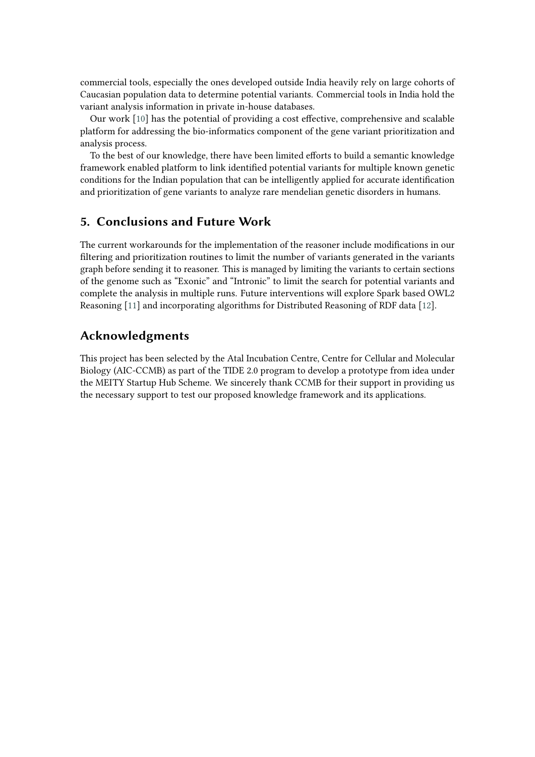commercial tools, especially the ones developed outside India heavily rely on large cohorts of Caucasian population data to determine potential variants. Commercial tools in India hold the variant analysis information in private in-house databases.

Our work [\[10\]](#page-7-10) has the potential of providing a cost effective, comprehensive and scalable platform for addressing the bio-informatics component of the gene variant prioritization and analysis process.

To the best of our knowledge, there have been limited efforts to build a semantic knowledge framework enabled platform to link identified potential variants for multiple known genetic conditions for the Indian population that can be intelligently applied for accurate identification and prioritization of gene variants to analyze rare mendelian genetic disorders in humans.

### <span id="page-6-0"></span>**5. Conclusions and Future Work**

The current workarounds for the implementation of the reasoner include modifications in our filtering and prioritization routines to limit the number of variants generated in the variants graph before sending it to reasoner. This is managed by limiting the variants to certain sections of the genome such as "Exonic" and "Intronic" to limit the search for potential variants and complete the analysis in multiple runs. Future interventions will explore Spark based OWL2 Reasoning [\[11\]](#page-7-11) and incorporating algorithms for Distributed Reasoning of RDF data [\[12\]](#page-7-12).

## **Acknowledgments**

This project has been selected by the Atal Incubation Centre, Centre for Cellular and Molecular Biology (AIC-CCMB) as part of the TIDE 2.0 program to develop a prototype from idea under the MEITY Startup Hub Scheme. We sincerely thank CCMB for their support in providing us the necessary support to test our proposed knowledge framework and its applications.